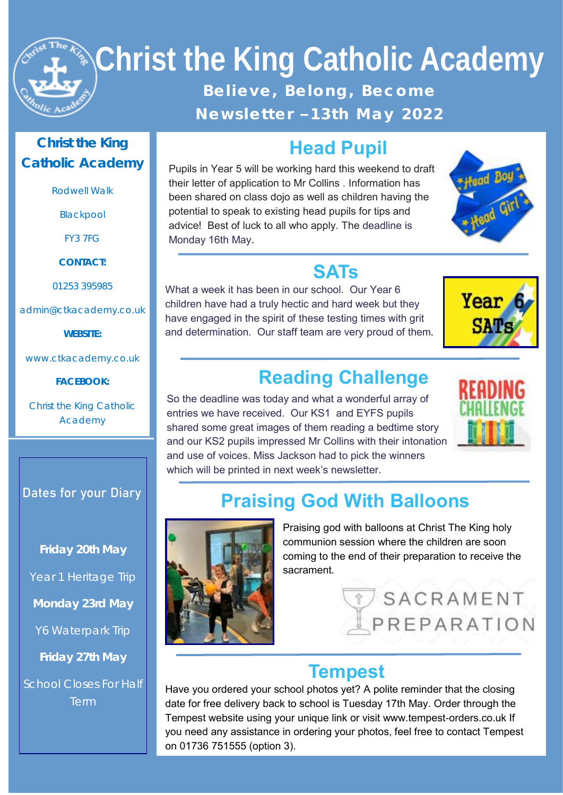

# **Christ the King Catholic Academy**  Believe, Belong, Become **N e w s l e t t e r – 1 3 t h M a y 2 02 2**

#### **Christ the King Catholic Academy**

Rodwell Walk

Blackpool

FY3 7FG

**CONTACT:**

01253 395985

admin@ctkacademy.co.uk

**WEBSITE:**

www.ctkacademy.co.uk

**FACEBOOK:**

Christ the King Catholic Academy

#### **Dates for your Diary**

**Friday 20th May** Year 1 Heritage Trip **Monday 23rd May** Y6 Waterpark Trip **Friday 27th May** School Closes For Half

Term

## **Head Pupil**

Pupils in Year 5 will be working hard this weekend to draft their letter of application to Mr Collins . Information has been shared on class dojo as well as children having the potential to speak to existing head pupils for tips and advice! Best of luck to all who apply. The deadline is Monday 16th May.



#### **SATs**

What a week it has been in our school. Our Year 6 children have had a truly hectic and hard week but they have engaged in the spirit of these testing times with grit and determination. Our staff team are very proud of them.



## **Reading Challenge**

So the deadline was today and what a wonderful array of entries we have received. Our KS1 and EYFS pupils shared some great images of them reading a bedtime story and our KS2 pupils impressed Mr Collins with their intonation and use of voices. Miss Jackson had to pick the winners which will be printed in next week's newsletter.



# **Praising God With Balloons**



Praising god with balloons at Christ The King holy communion session where the children are soon coming to the end of their preparation to receive the sacrament.



#### **Tempest**

Have you ordered your school photos yet? A polite reminder that the closing date for free delivery back to school is Tuesday 17th May. Order through the Tempest website using your unique link or visit www.tempest-orders.co.uk If you need any assistance in ordering your photos, feel free to contact Tempest on 01736 751555 (option 3).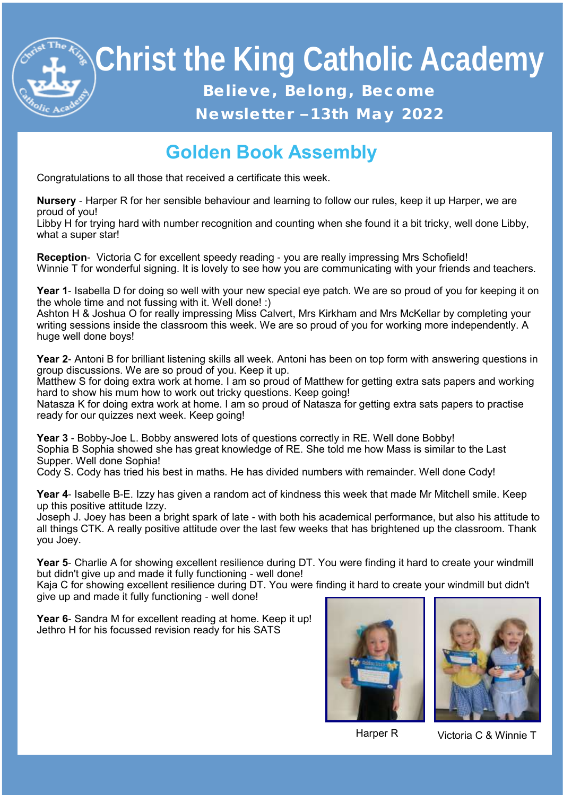

# **Christ the King Catholic Academy**  Believe, Belong, Become **N e w s l e t t e r – 1 3 t h M a y 2 02 2**

# **Golden Book Assembly**

Congratulations to all those that received a certificate this week.

**Nursery** - Harper R for her sensible behaviour and learning to follow our rules, keep it up Harper, we are proud of you!

Libby H for trying hard with number recognition and counting when she found it a bit tricky, well done Libby, what a super star!

**Reception**- Victoria C for excellent speedy reading - you are really impressing Mrs Schofield! Winnie T for wonderful signing. It is lovely to see how you are communicating with your friends and teachers.

**Year 1**- Isabella D for doing so well with your new special eye patch. We are so proud of you for keeping it on the whole time and not fussing with it. Well done! :)

Ashton H & Joshua O for really impressing Miss Calvert, Mrs Kirkham and Mrs McKellar by completing your writing sessions inside the classroom this week. We are so proud of you for working more independently. A huge well done boys!

**Year 2**- Antoni B for brilliant listening skills all week. Antoni has been on top form with answering questions in group discussions. We are so proud of you. Keep it up.

Matthew S for doing extra work at home. I am so proud of Matthew for getting extra sats papers and working hard to show his mum how to work out tricky questions. Keep going!

Natasza K for doing extra work at home. I am so proud of Natasza for getting extra sats papers to practise ready for our quizzes next week. Keep going!

**Year 3** - Bobby-Joe L. Bobby answered lots of questions correctly in RE. Well done Bobby! Sophia B Sophia showed she has great knowledge of RE. She told me how Mass is similar to the Last Supper. Well done Sophia!

Cody S. Cody has tried his best in maths. He has divided numbers with remainder. Well done Cody!

**Year 4**- Isabelle B-E. Izzy has given a random act of kindness this week that made Mr Mitchell smile. Keep up this positive attitude Izzy.

Joseph J. Joey has been a bright spark of late - with both his academical performance, but also his attitude to all things CTK. A really positive attitude over the last few weeks that has brightened up the classroom. Thank you Joey.

**Year 5**- Charlie A for showing excellent resilience during DT. You were finding it hard to create your windmill but didn't give up and made it fully functioning - well done!

Kaja C for showing excellent resilience during DT. You were finding it hard to create your windmill but didn't give up and made it fully functioning - well done!

**Year 6**- Sandra M for excellent reading at home. Keep it up! Jethro H for his focussed revision ready for his SATS





Harper R Victoria C & Winnie T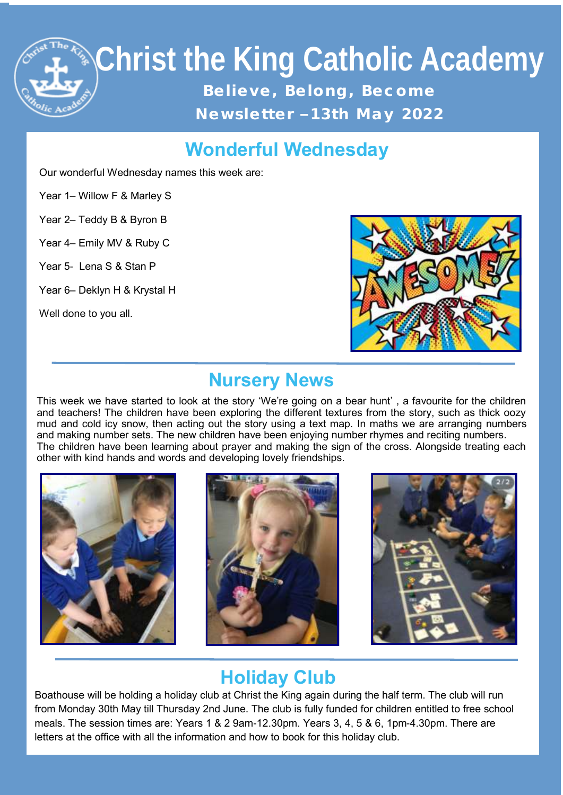

#### **Wonderful Wednesday**

Our wonderful Wednesday names this week are:

Year 1– Willow F & Marley S

Year 2– Teddy B & Byron B

Year 4– Emily MV & Ruby C

Year 5- Lena S & Stan P

Year 6– Deklyn H & Krystal H

Well done to you all.



#### **Nursery News**

other with kind hands and words and developing lovely friendships. This week we have started to look at the story 'We're going on a bear hunt' , a favourite for the children and teachers! The children have been exploring the different textures from the story, such as thick oozy mud and cold icy snow, then acting out the story using a text map. In maths we are arranging numbers and making number sets. The new children have been enjoying number rhymes and reciting numbers. The children have been learning about prayer and making the sign of the cross. Alongside treating each







### **Holiday Club**

Boathouse will be holding a holiday club at Christ the King again during the half term. The club will run from Monday 30th May till Thursday 2nd June. The club is fully funded for children entitled to free school meals. The session times are: Years 1 & 2 9am-12.30pm. Years 3, 4, 5 & 6, 1pm-4.30pm. There are letters at the office with all the information and how to book for this holiday club.